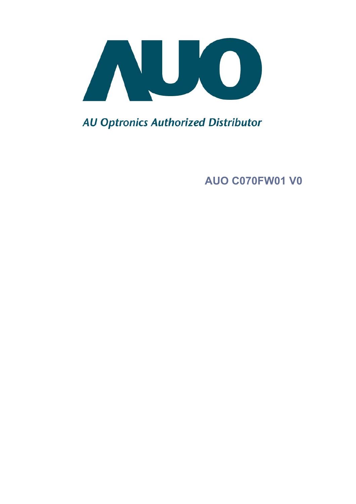

**AU Optronics Authorized Distributor** 

**AUO C070FW01 V0**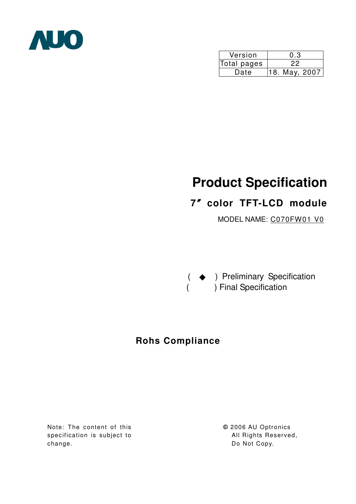

| Version     | 0.3           |
|-------------|---------------|
| Total pages |               |
| Date        | 18. May, 2007 |

# **Product Specification**

# **7**!**color TFT-LCD module**

MODEL NAME: C070FW01 V0

 $($   $\blacklozenge$  ) Preliminary Specification ( ) Final Specification

## **Rohs Compliance**

Note: The content of this specification is subject to change.

**©** 2006 AU Optronics All Rights Reserved, Do Not Copy.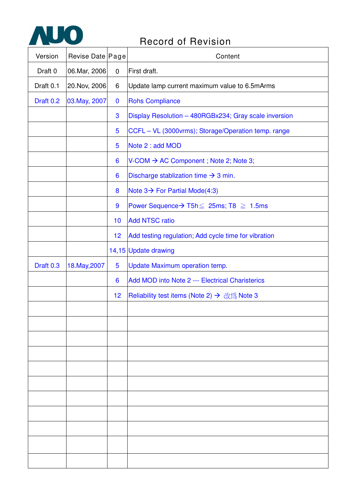

| Version            | Revise Date Page |                  | Content                                                       |
|--------------------|------------------|------------------|---------------------------------------------------------------|
| Draft <sub>0</sub> | 06. Mar, 2006    | $\pmb{0}$        | First draft.                                                  |
| Draft 0.1          | 20. Nov, 2006    | 6                | Update lamp current maximum value to 6.5mArms                 |
| Draft 0.2          | 03. May, 2007    | $\boldsymbol{0}$ | <b>Rohs Compliance</b>                                        |
|                    |                  | 3                | Display Resolution - 480RGBx234; Gray scale inversion         |
|                    |                  | 5                | CCFL - VL (3000vrms); Storage/Operation temp. range           |
|                    |                  | 5                | Note 2 : add MOD                                              |
|                    |                  | 6                | $V$ -COM $\rightarrow$ AC Component; Note 2; Note 3;          |
|                    |                  | 6                | Discharge stablization time $\rightarrow$ 3 min.              |
|                    |                  | 8                | Note $3\rightarrow$ For Partial Mode(4:3)                     |
|                    |                  | 9                | Power Sequence $\rightarrow$ T5h $\leq$ 25ms; T8 $\geq$ 1.5ms |
|                    |                  | 10               | <b>Add NTSC ratio</b>                                         |
|                    |                  | 12               | Add testing regulation; Add cycle time for vibration          |
|                    |                  |                  | 14,15 Update drawing                                          |
| Draft 0.3          | 18. May, 2007    | 5                | Update Maximum operation temp.                                |
|                    |                  | 6                | Add MOD into Note 2 --- Electrical Charisterics               |
|                    |                  | 12               | <b>Reliability test items (Note 2) → 改為 Note 3</b>            |
|                    |                  |                  |                                                               |
|                    |                  |                  |                                                               |
|                    |                  |                  |                                                               |
|                    |                  |                  |                                                               |
|                    |                  |                  |                                                               |
|                    |                  |                  |                                                               |
|                    |                  |                  |                                                               |
|                    |                  |                  |                                                               |
|                    |                  |                  |                                                               |
|                    |                  |                  |                                                               |
|                    |                  |                  |                                                               |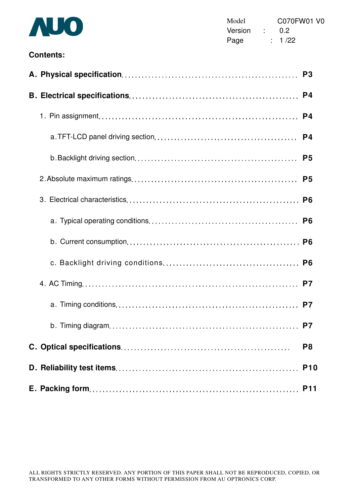#### **Contents:**

|  | P <sub>3</sub> |
|--|----------------|
|  | P <sub>4</sub> |
|  | P <sub>4</sub> |
|  | P <sub>4</sub> |
|  |                |
|  | P <sub>5</sub> |
|  |                |
|  |                |
|  |                |
|  |                |
|  |                |
|  |                |
|  |                |
|  | P <sub>8</sub> |
|  | <b>P10</b>     |
|  |                |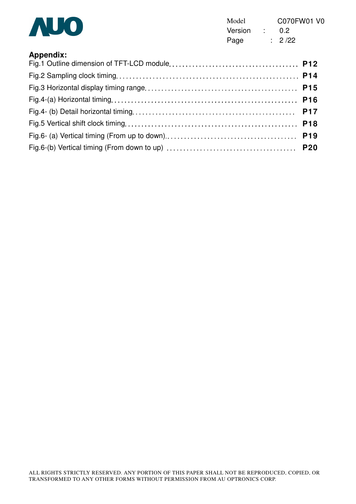

| Model   |  | C070FW01 V0 |  |
|---------|--|-------------|--|
| Version |  | 0.2         |  |
| Page    |  | : 2/22      |  |

| <b>Appendix:</b>                  |     |
|-----------------------------------|-----|
|                                   |     |
|                                   |     |
|                                   |     |
|                                   |     |
|                                   |     |
| Fig 5 Vertical shift clock timing | D1R |

| Fig.6-(b) Vertical timing (From down to up) $\dots\dots\dots\dots\dots\dots\dots\dots\dots\dots\dots\dots$ |  |
|------------------------------------------------------------------------------------------------------------|--|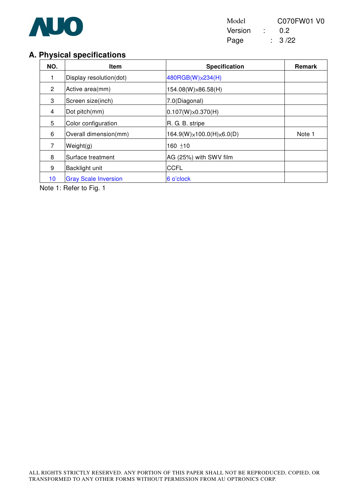

Model C070FW01 V0 Version : 0.2 Page : 3/22

#### **A. Physical specifications**

| NO.            | Item                        | <b>Specification</b>      | Remark |
|----------------|-----------------------------|---------------------------|--------|
|                | Display resolution(dot)     | 480RGB(W) × 234(H)        |        |
| $\overline{2}$ | Active area(mm)             | 154.08(W)×86.58(H)        |        |
| 3              | Screen size(inch)           | 7.0(Diagonal)             |        |
| 4              | Dot pitch(mm)               | $0.107(W)\times 0.370(H)$ |        |
| 5              | Color configuration         | R. G. B. stripe           |        |
| 6              | Overall dimension(mm)       | 164.9(W)×100.0(H)×6.0(D)  | Note 1 |
| 7              | Weight(g)                   | $160 + 10$                |        |
| 8              | Surface treatment           | AG (25%) with SWV film    |        |
| 9              | Backlight unit              | <b>CCFL</b>               |        |
| 10             | <b>Gray Scale Inversion</b> | 6 o'clock                 |        |

Note 1: Refer to Fig. 1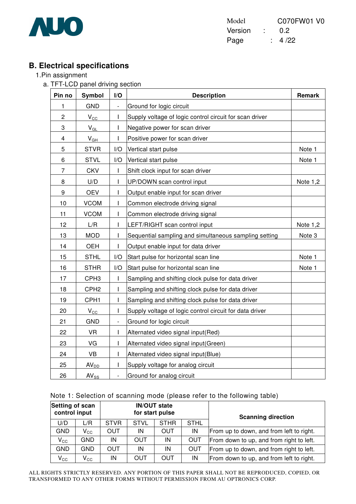

Model C070FW01 V0 Version : 0.2 Page : 4/22

### **B. Electrical specifications**

#### 1.Pin assignment

a. TFT-LCD panel driving section

| Pin no                  | Symbol           | I/O                      | <b>Description</b>                                      | Remark     |
|-------------------------|------------------|--------------------------|---------------------------------------------------------|------------|
| 1                       | <b>GND</b>       | $\overline{\phantom{a}}$ | Ground for logic circuit                                |            |
| $\overline{c}$          | $V_{\rm CC}$     | I                        | Supply voltage of logic control circuit for scan driver |            |
| 3                       | $V_{GL}$         | I                        | Negative power for scan driver                          |            |
| $\overline{\mathbf{4}}$ | $V_{GH}$         | ı                        | Positive power for scan driver                          |            |
| 5                       | <b>STVR</b>      | I/O                      | Vertical start pulse                                    | Note 1     |
| 6                       | <b>STVL</b>      | I/O                      | Vertical start pulse                                    | Note 1     |
| $\overline{7}$          | <b>CKV</b>       | ı                        | Shift clock input for scan driver                       |            |
| 8                       | U/D              | I                        | UP/DOWN scan control input                              | Note 1,2   |
| 9                       | <b>OEV</b>       | I                        | Output enable input for scan driver                     |            |
| 10                      | <b>VCOM</b>      | I                        | Common electrode driving signal                         |            |
| 11                      | <b>VCOM</b>      | I                        | Common electrode driving signal                         |            |
| 12                      | L/R              | I                        | LEFT/RIGHT scan control input                           | Note $1,2$ |
| 13                      | <b>MOD</b>       | ı                        | Sequential sampling and simultaneous sampling setting   | Note 3     |
| 14                      | OEH              |                          | Output enable input for data driver                     |            |
| 15                      | <b>STHL</b>      | I/O                      | Start pulse for horizontal scan line                    | Note 1     |
| 16                      | <b>STHR</b>      | I/O                      | Start pulse for horizontal scan line                    | Note 1     |
| 17                      | CPH <sub>3</sub> | ı                        | Sampling and shifting clock pulse for data driver       |            |
| 18                      | CPH <sub>2</sub> | I                        | Sampling and shifting clock pulse for data driver       |            |
| 19                      | CPH <sub>1</sub> | I                        | Sampling and shifting clock pulse for data driver       |            |
| 20                      | $V_{\rm CC}$     | ı                        | Supply voltage of logic control circuit for data driver |            |
| 21                      | <b>GND</b>       | $\overline{\phantom{0}}$ | Ground for logic circuit                                |            |
| 22                      | <b>VR</b>        | I                        | Alternated video signal input(Red)                      |            |
| 23                      | VG               | I                        | Alternated video signal input(Green)                    |            |
| 24                      | VB               | I                        | Alternated video signal input(Blue)                     |            |
| 25                      | AV <sub>DD</sub> | I                        | Supply voltage for analog circuit                       |            |
| 26                      | $AV_{SS}$        | $\overline{a}$           | Ground for analog circuit                               |            |

|  |  | Note 1: Selection of scanning mode (please refer to the following table) |  |
|--|--|--------------------------------------------------------------------------|--|
|--|--|--------------------------------------------------------------------------|--|

| Setting of scan<br>control input |                            |             |             | <b>IN/OUT state</b><br>for start pulse |             | <b>Scanning direction</b>                |  |
|----------------------------------|----------------------------|-------------|-------------|----------------------------------------|-------------|------------------------------------------|--|
| U/D                              | L/R                        | <b>STVR</b> | <b>STVL</b> | <b>STHR</b>                            | <b>STHL</b> |                                          |  |
| <b>GND</b>                       | $V_{\rm CC}$               | <b>OUT</b>  | IN          | OUT                                    | ΙN          | From up to down, and from left to right. |  |
| $V_{\rm CC}$                     | <b>GND</b>                 | IN          | OUT         | IN                                     | <b>OUT</b>  | From down to up, and from right to left. |  |
| <b>GND</b>                       | GND                        | OUT         | IN          | IN                                     | <b>OUT</b>  | From up to down, and from right to left. |  |
| $V_{\rm CC}$                     | $\mathsf{V}_{\mathsf{CC}}$ | IN          | OUT         | OUT                                    | ΙN          | From down to up, and from left to right. |  |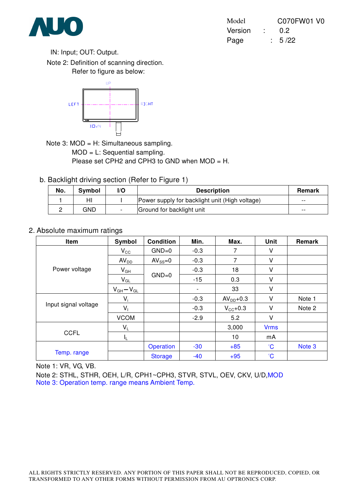

IN: Input; OUT: Output.

Note 2: Definition of scanning direction.

Refer to figure as below:



Note 3: MOD = H: Simultaneous sampling. MOD = L: Sequential sampling. Please set CPH2 and CPH3 to GND when MOD = H.

b. Backlight driving section (Refer to Figure 1)

| No. | <b>Symbol</b> | l/O | <b>Description</b>                             | Remark |
|-----|---------------|-----|------------------------------------------------|--------|
|     | HI            |     | Power supply for backlight unit (High voltage) | $- -$  |
|     | GND           |     | Ground for backlight unit                      | $- -$  |

#### 2. Absolute maximum ratings

| <b>Item</b>          | Symbol           | <b>Condition</b> | Min.                     | Max.                | <b>Unit</b>  | Remark |
|----------------------|------------------|------------------|--------------------------|---------------------|--------------|--------|
|                      | $V_{\rm CC}$     | $GND=0$          | $-0.3$                   | 7                   | V            |        |
|                      | AV <sub>DD</sub> | $AV_{SS}=0$      | $-0.3$                   | 7                   | V            |        |
| Power voltage        | $V_{GH}$         |                  | $-0.3$                   | 18                  | V            |        |
|                      | $V_{GL}$         | $GND=0$          | $-15$                    | 0.3                 | V            |        |
|                      | $V_{GH}-V_{GL}$  |                  | $\overline{\phantom{a}}$ | 33                  | V            |        |
|                      | $V_i$            |                  | $-0.3$                   | $AVDD+0.3$          | v            | Note 1 |
| Input signal voltage | $V_1$            |                  | $-0.3$                   | $V_{\text{CC}}+0.3$ | ٧            | Note 2 |
|                      | <b>VCOM</b>      |                  | $-2.9$                   | 5.2                 | V            |        |
|                      | $V_L$            |                  |                          | 3,000               | <b>Vrms</b>  |        |
| <b>CCFL</b>          | IL.              |                  |                          | 10                  | mA           |        |
|                      |                  | Operation        | $-30$                    | $+85$               | $^{\circ}C$  | Note 3 |
| Temp. range          |                  | <b>Storage</b>   | $-40$                    | $+95$               | $^{\circ}$ C |        |

Note 1: VR, VG, VB.

Note 2: STHL, STHR, OEH, L/R, CPH1~CPH3, STVR, STVL, OEV, CKV, U/D,MOD Note 3: Operation temp. range means Ambient Temp.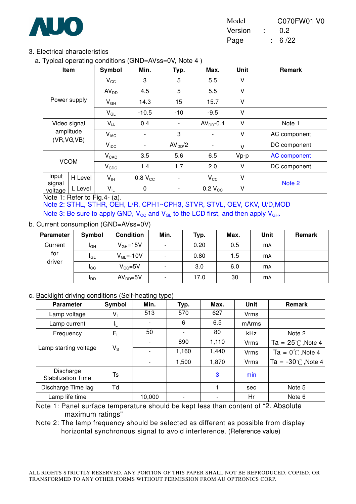

| Model   | C070FW01 V0   |
|---------|---------------|
| Version | $0.2^{\circ}$ |
| Page    | : 6/22        |

#### 3. Electrical characteristics

a. Typical operating conditions (GND=AVss=0V, Note 4 )

| ,,                | ັ<br>Item    | Symbol           | Min.                     | Typ.                     | Max.         | <b>Unit</b> | Remark              |
|-------------------|--------------|------------------|--------------------------|--------------------------|--------------|-------------|---------------------|
|                   |              | $V_{\rm CC}$     | 3                        | 5                        | 5.5          | ٧           |                     |
|                   |              | AV <sub>DD</sub> | 4.5                      | 5                        | 5.5          | V           |                     |
|                   | Power supply | $V_{GH}$         | 14.3                     | 15                       | 15.7         | V           |                     |
|                   |              | $V_{GL}$         | $-10.5$                  | $-10$                    | $-9.5$       | ٧           |                     |
|                   | Video signal | $V_{iA}$         | 0.4                      |                          | $AVDD-0.4$   | V           | Note 1              |
|                   | amplitude    | $V_{iAC}$        | $\overline{\phantom{a}}$ | 3                        |              | V           | AC component        |
|                   | (VR, VG, VB) | $V_{\text{IDC}}$ | $\overline{\phantom{0}}$ | AV <sub>DD</sub> /2      |              | v           | DC component        |
|                   |              | $V_{CAC}$        | 3.5                      | 5.6                      | 6.5          | $Vp-p$      | <b>AC</b> component |
|                   | <b>VCOM</b>  | $V_{CDC}$        | 1.4                      | 1.7                      | 2.0          | V           | DC component        |
| Input             | H Level      | $V_{\text{IH}}$  | 0.8 V <sub>CC</sub>      | $\overline{\phantom{a}}$ | $V_{\rm CC}$ | V           |                     |
| signal<br>voltage | L Level      | $V_{IL}$         | 0                        |                          | $0.2 V_{CC}$ | V           | Note 2              |

Note 1: Refer to Fig.4- (a).

Note 2: STHL, STHR, OEH, L/R, CPH1~CPH3, STVR, STVL, OEV, CKV, U/D,MOD Note 3: Be sure to apply GND,  $V_{CC}$  and  $V_{GL}$  to the LCD first, and then apply  $V_{GH}$ .

#### b. Current consumption (GND=AVss=0V)

| Parameter     | Symbol                 | <b>Condition</b> | Min.                     | Typ. | Max. | Unit      | Remark |
|---------------|------------------------|------------------|--------------------------|------|------|-----------|--------|
| Current       | I <sub>GH</sub>        | $V_{GH} = 15V$   | $\overline{\phantom{a}}$ | 0.20 | 0.5  | <b>MA</b> |        |
| for<br>driver | <b>I</b> GL            | $V_{GL} = -10V$  | -                        | 0.80 | 1.5  | <b>mA</b> |        |
|               | $I_{\rm CC}$           | $V_{CC} = 5V$    | $\overline{\phantom{0}}$ | 3.0  | 6.0  | <b>mA</b> |        |
|               | <b>I</b> <sub>DD</sub> | $AVDD=5V$        | $\overline{\phantom{0}}$ | 17.0 | 30   | <b>MA</b> |        |

#### c. Backlight driving conditions (Self-heating type)

| <b>Parameter</b>                       | Symbol      | Min.                     | Typ.  | Max.  | Unit        | <b>Remark</b>                |
|----------------------------------------|-------------|--------------------------|-------|-------|-------------|------------------------------|
| Lamp voltage                           | $V_L$       | 513                      | 570   | 627   | Vrms        |                              |
| Lamp current                           | IL.         | $\qquad \qquad$          | 6     | 6.5   | mArms       |                              |
| Frequency                              | $F_L$       | 50                       | -     | 80    | kHz         | Note 2                       |
|                                        |             |                          | 890   | 1,110 | <b>Vrms</b> | Ta = $25^{\circ}$ C, Note 4  |
| Lamp starting voltage                  | $V_{\rm S}$ |                          | 1,160 | 1,440 | Vrms        | Ta = $0^{\circ}$ C, Note 4   |
|                                        |             | $\overline{\phantom{0}}$ | 1,500 | 1,870 | <b>Vrms</b> | Ta = $-30^{\circ}$ C, Note 4 |
| Discharge<br><b>Stabilization Time</b> | Ts          |                          |       | 3     | min         |                              |
| Discharge Time lag                     | Td          |                          |       |       | sec         | Note 5                       |
| Lamp life time                         |             | 10,000                   |       |       | Hr          | Note 6                       |

Note 1: Panel surface temperature should be kept less than content of "2. Absolute maximum ratings"

Note 2: The lamp frequency should be selected as different as possible from display horizontal synchronous signal to avoid interference. (Reference value)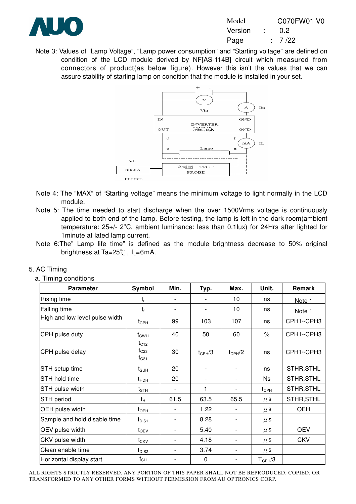

Note 3: Values of "Lamp Voltage", "Lamp power consumption" and "Starting voltage" are defined on condition of the LCD module derived by NF[AS-114B] circuit which measured from connectors of product(as below figure). However this isn't the values that we can assure stability of starting lamp on condition that the module is installed in your set.



- Note 4: The "MAX" of "Starting voltage" means the minimum voltage to light normally in the LCD module.
- Note 5: The time needed to start discharge when the over 1500Vrms voltage is continuously applied to both end of the lamp. Before testing, the lamp is left in the dark room(ambient temperature: 25+/- 2°C, ambient luminance: less than 0.1lux) for 24Hrs after lighted for 1minute at lated lamp current.
- Note 6:The" Lamp life time" is defined as the module brightness decrease to 50% original brightness at Ta=25 $\degree$ C, I<sub>L</sub>=6mA.

| <b>Parameter</b>               | Symbol                              | Min. | Typ.                     | Max.        | Unit.                          | Remark     |
|--------------------------------|-------------------------------------|------|--------------------------|-------------|--------------------------------|------------|
| Rising time                    | $t_{r}$                             |      |                          | 10          | ns                             | Note 1     |
| Falling time                   | $t_{\rm f}$                         |      |                          | 10          | ns                             | Note 1     |
| High and low level pulse width | $t_{\mathsf{CPH}}$                  | 99   | 103                      | 107         | ns                             | CPH1~CPH3  |
| CPH pulse duty                 | $t_{\text{CWH}}$                    | 40   | 50                       | 60          | $\%$                           | CPH1~CPH3  |
| CPH pulse delay                | $t_{C12}$<br>$t_{C23}$<br>$t_{C31}$ | 30   | $t_{\rm CPH}/3$          | $t_{CPH}/2$ | ns                             | CPH1~CPH3  |
| STH setup time                 | $t_{\scriptstyle\text{SUH}}$        | 20   |                          |             | ns                             | STHR, STHL |
| STH hold time                  | $t_{HDH}$                           | 20   | $\overline{\phantom{a}}$ |             | Ns                             | STHR, STHL |
| STH pulse width                | $t_{\text{STH}}$                    |      | 1                        |             | $t_{\mathsf{CPH}}$             | STHR, STHL |
| STH period                     | $t_{H}$                             | 61.5 | 63.5                     | 65.5        | $\mu$ S                        | STHR, STHL |
| OEH pulse width                | $t_{\text{OEH}}$                    |      | 1.22                     |             | $\mu$ s                        | <b>OEH</b> |
| Sample and hold disable time   | $t_{\text{DIS1}}$                   |      | 8.28                     |             | $\mu$ s                        |            |
| OEV pulse width                | $t_{OEV}$                           |      | 5.40                     |             | $\mu$ S                        | <b>OEV</b> |
| CKV pulse width                | $t_{CKV}$                           |      | 4.18                     |             | $\mu$ s                        | <b>CKV</b> |
| Clean enable time              | $t_{\text{DIS2}}$                   |      | 3.74                     |             | $\mu$ S                        |            |
| Horizontal display start       | $t_{\mathsf{SH}}$                   |      | 0                        |             | ${\mathsf T}_{\mathsf{CPH}}/3$ |            |

#### 5. AC Timing

a. Timing conditions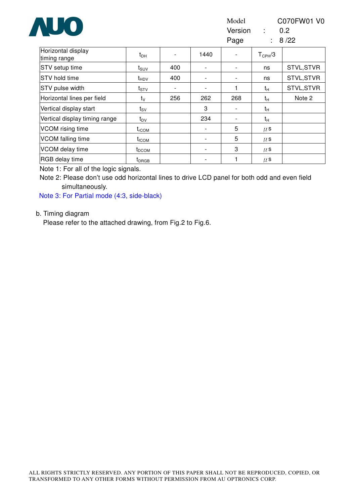| Model   |  | C070FW01 V0 |  |
|---------|--|-------------|--|
| Version |  | 0.2         |  |
| Page    |  | : 8/22      |  |

| Horizontal display<br>timing range | t <sub>DH</sub>              |     | 1440                     |     | $T_{\text{CPH}}/3$ |            |
|------------------------------------|------------------------------|-----|--------------------------|-----|--------------------|------------|
| STV setup time                     | $t_{\scriptstyle\text{SUV}}$ | 400 |                          |     | ns                 | STVL, STVR |
| <b>STV</b> hold time               | t <sub>HDV</sub>             | 400 | $\overline{\phantom{a}}$ |     | ns                 | STVL, STVR |
| STV pulse width                    | $t_{STV}$                    |     |                          |     | tн                 | STVL, STVR |
| Horizontal lines per field         | $t_{\rm V}$                  | 256 | 262                      | 268 | tн                 | Note 2     |
| Vertical display start             | t <sub>sv</sub>              |     | 3                        |     | $t_H$              |            |
| Vertical display timing range      | t <sub>DV</sub>              |     | 234                      |     | $t_H$              |            |
| VCOM rising time                   | $t_{\rm rCOM}$               |     | -                        | 5   | $\mu$ S            |            |
| <b>VCOM</b> falling time           | $t_{\rm fCOM}$               |     |                          | 5   | $\mu$ s            |            |
| VCOM delay time                    | t <sub>DCOM</sub>            |     |                          | 3   | $\mu$ S            |            |
| RGB delay time                     | <b>t</b> <sub>DRGB</sub>     |     | -                        |     | $\mu$ S            |            |

Note 1: For all of the logic signals.

Note 2: Please don't use odd horizontal lines to drive LCD panel for both odd and even field simultaneously.

Note 3: For Partial mode (4:3, side-black)

#### b. Timing diagram

Please refer to the attached drawing, from Fig.2 to Fig.6.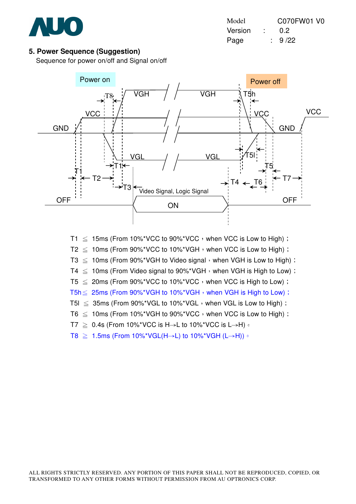

| Model   |  | C070FW01 V0   |  |
|---------|--|---------------|--|
| Version |  | $0.2^{\circ}$ |  |
| Page    |  | 9/22          |  |

#### **5. Power Sequence (Suggestion)**

Sequence for power on/off and Signal on/off



T1  $\leq$  15ms (From 10%\*VCC to 90%\*VCC  $\cdot$  when VCC is Low to High) :  $T2 \leq 10$ ms (From 90%\*VCC to 10%\*VGH  $\cdot$  when VCC is Low to High) :  $T3 \leq 10$ ms (From 90%\*VGH to Video signal  $\overline{y}$  when VGH is Low to High); T4  $\leq$  10ms (From Video signal to 90%\*VGH, when VGH is High to Low); T5  $\leq$  20ms (From 90%\*VCC to 10%\*VCC  $\cdot$  when VCC is High to Low) : T5h $\leq$  25ms (From 90%\*VGH to 10%\*VGH, when VGH is High to Low); T5l  $\leq$  35ms (From 90%\*VGL to 10%\*VGL  $\cdot$  when VGL is Low to High) ;  $T6 \leq 10$ ms (From 10%\*VGH to 90%\*VCC, when VCC is Low to High);  $T7 \geq 0.4$ s (From 10%\*VCC is H $\rightarrow$ L to 10%\*VCC is L $\rightarrow$ H)  $\circ$  $T8 \geq 1.5$ ms (From 10%\*VGL(H->L) to 10%\*VGH (L->H))  $\circ$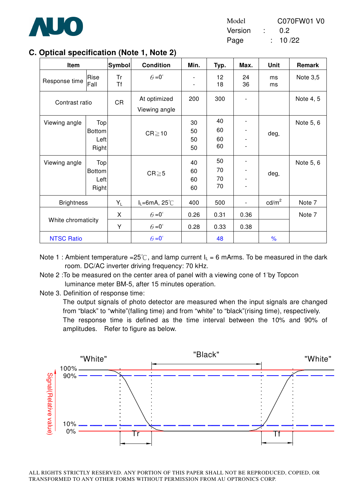

| Model   |  | C070FW01 V0 |  |
|---------|--|-------------|--|
| Version |  | (0.2)       |  |
| Page    |  | 10/22       |  |

#### **C. Optical specification (Note 1, Note 2)**

| Item               |                                              | Symbol    | <b>Condition</b>                           | Min.                          | Typ.                 | Max.         | Unit            | Remark    |
|--------------------|----------------------------------------------|-----------|--------------------------------------------|-------------------------------|----------------------|--------------|-----------------|-----------|
| Response time      | Rise<br>Fall                                 | Tr<br>Τf  | $\theta = 0^{\circ}$                       | -<br>$\overline{\phantom{a}}$ | 12<br>18             | 24<br>36     | ms<br>ms        | Note 3,5  |
| Contrast ratio     |                                              | <b>CR</b> | At optimized<br>Viewing angle              | 200                           | 300                  |              |                 | Note 4, 5 |
| Viewing angle      | Top<br><b>Bottom</b><br>Left<br><b>Right</b> |           | $CR \ge 10$                                | 30<br>50<br>50<br>50          | 40<br>60<br>60<br>60 |              | deg.            | Note 5, 6 |
| Viewing angle      | Top<br><b>Bottom</b><br>Left<br>Right        |           | $CR \ge 5$                                 | 40<br>60<br>60<br>60          | 50<br>70<br>70<br>70 |              | deg.            | Note 5, 6 |
| <b>Brightness</b>  |                                              | $Y_L$     | $I_L = 6mA$ , 25°C                         | 400                           | 500                  |              | $\text{cd/m}^2$ | Note 7    |
| White chromaticity |                                              | X<br>Y    | $\theta = 0^{\circ}$<br>$\theta = 0^\circ$ | 0.26<br>0.28                  | 0.31<br>0.33         | 0.36<br>0.38 |                 | Note 7    |
| <b>NTSC Ratio</b>  |                                              |           | $\theta = 0^{\circ}$                       |                               | 48                   |              | $\frac{9}{6}$   |           |

Note 1 : Ambient temperature =25°C, and lamp current  $I_L = 6$  mArms. To be measured in the dark room. DC/AC inverter driving frequency: 70 kHz.

- Note 2 : To be measured on the center area of panel with a viewing cone of 1<sup>°</sup>by Topcon luminance meter BM-5, after 15 minutes operation.
- Note 3. Definition of response time:

The output signals of photo detector are measured when the input signals are changed from "black" to "white"(falling time) and from "white" to "black"(rising time), respectively. The response time is defined as the time interval between the 10% and 90% of amplitudes. Refer to figure as below.

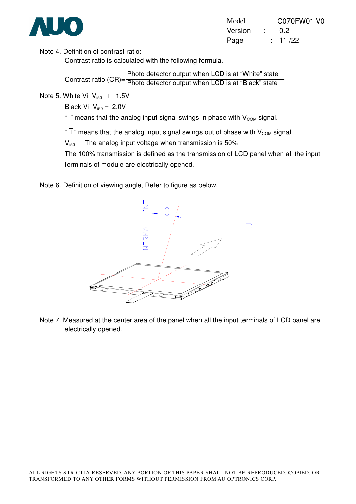

| Model   |  | C070FW01 V0   |  |
|---------|--|---------------|--|
| Version |  | $0.2^{\circ}$ |  |
| Page    |  | : 11/22       |  |

Note 4. Definition of contrast ratio:

Contrast ratio is calculated with the following formula.

Contrast ratio (CR)= Photo detector output when LCD is at "White" state Photo detector output when LCD is at "Black" state

Note 5. White  $Vi = V_{150} + 1.5V$ 

Black Vi= $V_{i50} \pm 2.0V$ 

" $\pm$ " means that the analog input signal swings in phase with  $V_{COM}$  signal.

" $\overline{+}$ " means that the analog input signal swings out of phase with V<sub>COM</sub> signal.

 $V_{150}$ : The analog input voltage when transmission is 50%

The 100% transmission is defined as the transmission of LCD panel when all the input terminals of module are electrically opened.

Note 6. Definition of viewing angle, Refer to figure as below.



Note 7. Measured at the center area of the panel when all the input terminals of LCD panel are electrically opened.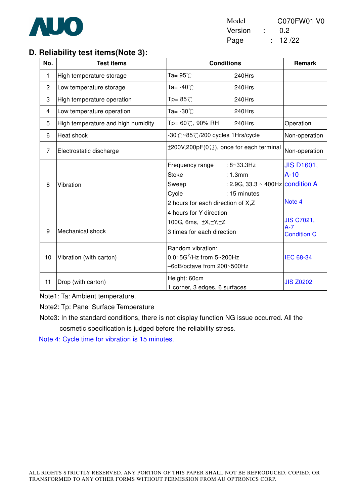

#### **D. Reliability test items(Note 3):**

| No.            | <b>Test items</b>                  | <b>Conditions</b>                                     |                                  | <b>Remark</b>               |
|----------------|------------------------------------|-------------------------------------------------------|----------------------------------|-----------------------------|
| $\mathbf{1}$   | High temperature storage           | Ta= 95℃                                               | 240Hrs                           |                             |
| $\overline{2}$ | Low temperature storage            | Ta= -40℃                                              | 240Hrs                           |                             |
| 3              | High temperature operation         | Tp= $85^{\circ}$ C                                    | 240Hrs                           |                             |
| 4              | Low temperature operation          | Ta= -30 $^{\circ}$ C                                  | 240Hrs                           |                             |
| 5              | High temperature and high humidity | Tp= 60℃, 90% RH                                       | 240Hrs                           | Operation                   |
| 6              | Heat shock                         | -30℃~85℃/200 cycles 1Hrs/cycle                        |                                  | Non-operation               |
| 7              | Electrostatic discharge            | $\pm$ 200V,200pF(0 $\Omega$ ), once for each terminal |                                  | Non-operation               |
|                |                                    | Frequency range                                       | $: 8 - 33.3$ Hz                  | <b>JIS D1601,</b>           |
|                |                                    | <b>Stoke</b>                                          | : 1.3mm                          | $A-10$                      |
| 8              | Vibration                          | Sweep                                                 | : 2.9G, 33.3 ~ 400Hz condition A |                             |
|                |                                    | Cycle                                                 | : 15 minutes                     |                             |
|                |                                    | 2 hours for each direction of X,Z                     |                                  | Note 4                      |
|                |                                    | 4 hours for Y direction                               |                                  |                             |
|                |                                    | 100G, 6ms, $\pm X, \pm Y, \pm Z$                      |                                  | <b>JIS C7021,</b>           |
| 9              | Mechanical shock                   | 3 times for each direction                            |                                  | $A-7$<br><b>Condition C</b> |
|                |                                    | Random vibration:                                     |                                  |                             |
| 10             | Vibration (with carton)            | $0.015G^2$ /Hz from $5 \sim 200Hz$                    |                                  | <b>IEC 68-34</b>            |
|                |                                    | -6dB/octave from 200~500Hz                            |                                  |                             |
| 11             | Drop (with carton)                 | Height: 60cm                                          |                                  | <b>JIS Z0202</b>            |
|                |                                    | 1 corner, 3 edges, 6 surfaces                         |                                  |                             |

Note1: Ta: Ambient temperature.

Note2: Tp: Panel Surface Temperature

Note3: In the standard conditions, there is not display function NG issue occurred. All the cosmetic specification is judged before the reliability stress.

Note 4: Cycle time for vibration is 15 minutes.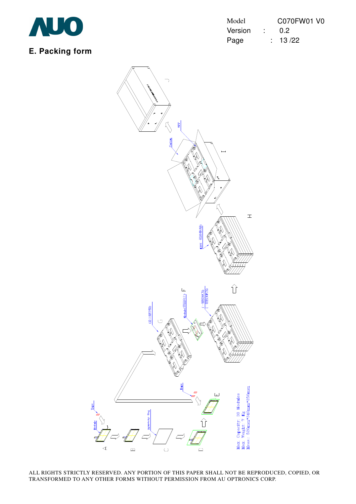

## **E. Packing form**

| Model   |                | C070FW01 V0   |  |
|---------|----------------|---------------|--|
| Version | <b>Part 19</b> | $0.2^{\circ}$ |  |
| Page    |                | : 13/22       |  |

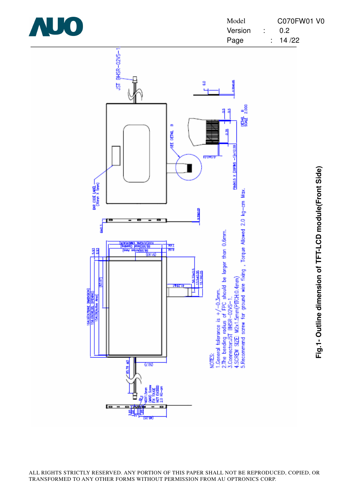

|                                                                                                                          | יוטוטוטי                                                                                                                                                                                                                                                                          | ◡.←        |
|--------------------------------------------------------------------------------------------------------------------------|-----------------------------------------------------------------------------------------------------------------------------------------------------------------------------------------------------------------------------------------------------------------------------------|------------|
|                                                                                                                          | Page                                                                                                                                                                                                                                                                              | 14/22<br>İ |
| JST BHSR-02VS-1                                                                                                          | ន                                                                                                                                                                                                                                                                                 |            |
|                                                                                                                          | <b>SETAIL 8</b><br>SOALE 2,000<br>۹<br>╡<br>Ĕ<br><b>SEE DETAIL</b><br>Photo.5 X (20PMS -1)=12.50<br><b>IU U T N U</b>                                                                                                                                                             |            |
| <b>DAR CODE LABEL</b><br>(JOHN X Smm)<br>Б<br>Е<br>-<br>E                                                                |                                                                                                                                                                                                                                                                                   |            |
| (park swipA)86.88<br>(pained)  eseB)86.88<br> Racetard switter/our<br>E<br>ä<br>[68.19]<br>П                             | $\frac{10}{10}$                                                                                                                                                                                                                                                                   |            |
| Ę<br>164.9(OUTUNE DIMENSION)<br>156.08(BEZEL GEENING)<br>154.08/445w Anal)                                               | 4.SCREW SIZE: M2x1.5mm(PITCH:0.4mm)<br>5.Recommend screw for ground wire fixing , Torque Allowed 2.0 kg-cm Max.<br>1.General talerance is +/-0.3mm.<br>2.The bending radius of FPC should be larger than 0.6mm.<br>3.Connector:JST BHSR-02VS-1.<br>1554005<br><b>EFOX 11</b><br>Ц |            |
| 出路地<br>(zzs)<br>(MAX) Screw<br>FIX TOUCE<br>MOT EXCELD<br>2.0 KG-an<br>M2X1.5mm<br>叵<br>$\blacksquare$<br>璑<br>100520101 | NOTES:                                                                                                                                                                                                                                                                            |            |

**Fig.1- Outline dimension of TFT-LCD module(Front Side)** Fig.1- Outline dimension of TFT-LCD module(Front Side)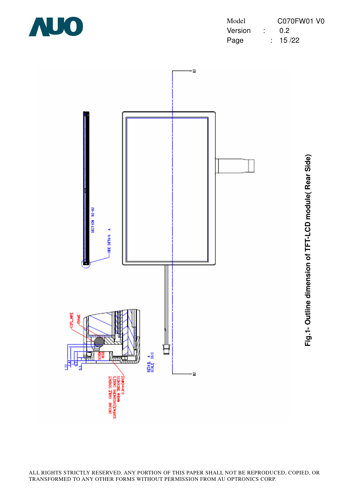

| Model   |  | C070FW01 V0 |  |
|---------|--|-------------|--|
| Version |  | 0.2         |  |
| Page    |  | : 15/22     |  |

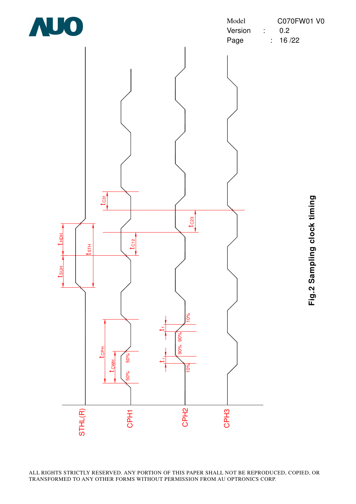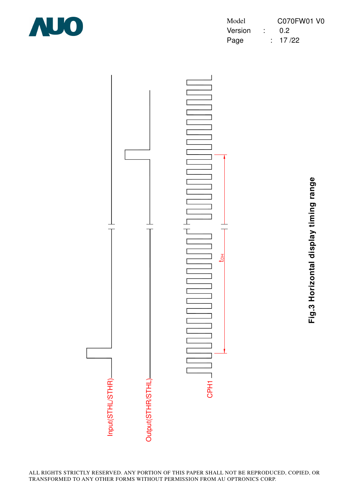

| Model   |  | C070FW01 V0   |  |
|---------|--|---------------|--|
| Version |  | $0.2^{\circ}$ |  |
| Page    |  | : 17/22       |  |



**Fig.3 Horizontal display timing range** Fig.3 Horizontal display timing range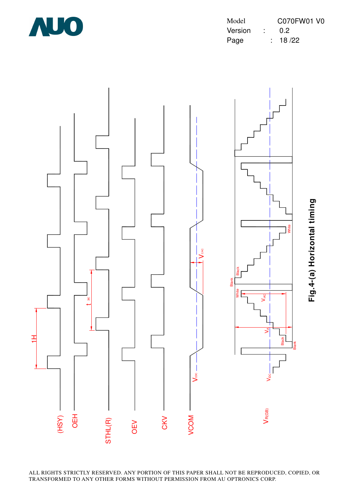

| Model   |  | C070FW01 V0 |  |
|---------|--|-------------|--|
| Version |  | 0.2         |  |
| Page    |  | : 18/22     |  |

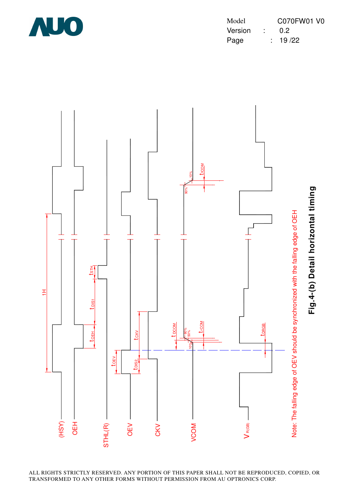

| Model   | C070FW01 V0 |
|---------|-------------|
| Version | 0.2         |
| Page    | : 19/22     |

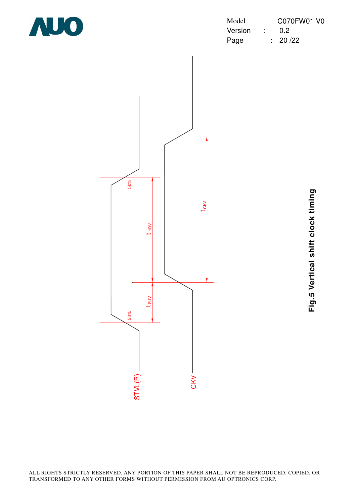

**Fig.5 Vertical shift clock timing** Fig.5 Vertical shift clock timing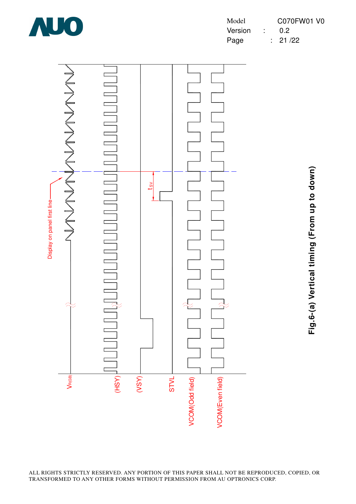

Model C070FW01 V0 Version : 0.2 Page : 21 /22



**Fig.6-(a) Vertical timing (From up to down)** Fig.6-(a) Vertical timing (From up to down)